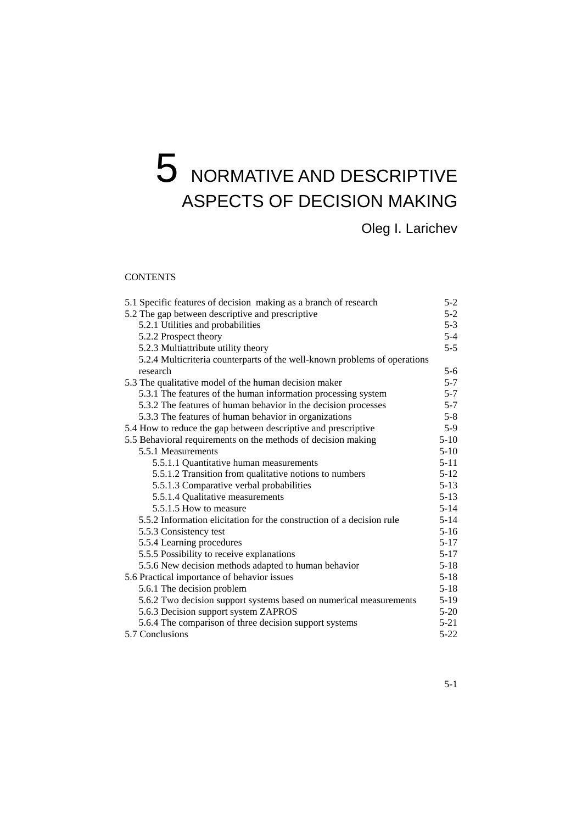Oleg I. Larichev

## **CONTENTS**

| 5.1 Specific features of decision making as a branch of research          | $5-2$    |  |  |  |
|---------------------------------------------------------------------------|----------|--|--|--|
| 5.2 The gap between descriptive and prescriptive                          | $5 - 2$  |  |  |  |
| 5.2.1 Utilities and probabilities                                         | $5 - 3$  |  |  |  |
| 5.2.2 Prospect theory                                                     | $5 - 4$  |  |  |  |
| 5.2.3 Multiattribute utility theory                                       | $5 - 5$  |  |  |  |
| 5.2.4 Multicriteria counterparts of the well-known problems of operations |          |  |  |  |
| research                                                                  | $5-6$    |  |  |  |
| 5.3 The qualitative model of the human decision maker                     | $5 - 7$  |  |  |  |
| 5.3.1 The features of the human information processing system             | $5 - 7$  |  |  |  |
| 5.3.2 The features of human behavior in the decision processes            | $5 - 7$  |  |  |  |
| 5.3.3 The features of human behavior in organizations                     | $5 - 8$  |  |  |  |
| 5.4 How to reduce the gap between descriptive and prescriptive            | $5-9$    |  |  |  |
| 5.5 Behavioral requirements on the methods of decision making             | $5 - 10$ |  |  |  |
| 5.5.1 Measurements                                                        | $5 - 10$ |  |  |  |
| 5.5.1.1 Quantitative human measurements                                   | $5 - 11$ |  |  |  |
| 5.5.1.2 Transition from qualitative notions to numbers                    | $5 - 12$ |  |  |  |
| 5.5.1.3 Comparative verbal probabilities                                  | $5 - 13$ |  |  |  |
| 5.5.1.4 Qualitative measurements                                          | $5 - 13$ |  |  |  |
| 5.5.1.5 How to measure                                                    | $5 - 14$ |  |  |  |
| 5.5.2 Information elicitation for the construction of a decision rule     | $5 - 14$ |  |  |  |
| 5.5.3 Consistency test                                                    | $5 - 16$ |  |  |  |
| 5.5.4 Learning procedures                                                 | $5 - 17$ |  |  |  |
| 5.5.5 Possibility to receive explanations                                 | $5 - 17$ |  |  |  |
| 5.5.6 New decision methods adapted to human behavior                      | $5 - 18$ |  |  |  |
| 5.6 Practical importance of behavior issues                               | $5 - 18$ |  |  |  |
| 5.6.1 The decision problem                                                | $5 - 18$ |  |  |  |
| 5.6.2 Two decision support systems based on numerical measurements        | $5-19$   |  |  |  |
| 5.6.3 Decision support system ZAPROS                                      | $5 - 20$ |  |  |  |
| 5.6.4 The comparison of three decision support systems                    |          |  |  |  |
| 5.7 Conclusions                                                           | $5 - 22$ |  |  |  |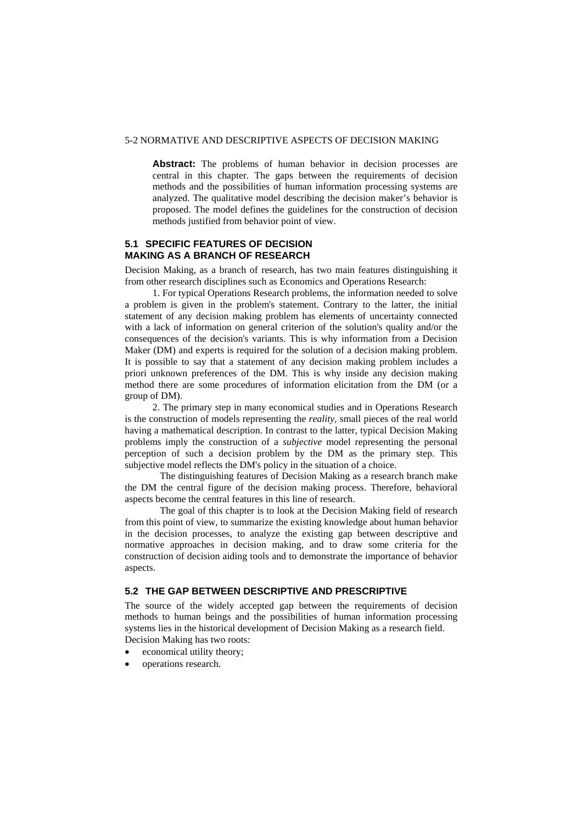**Abstract:** The problems of human behavior in decision processes are central in this chapter. The gaps between the requirements of decision methods and the possibilities of human information processing systems are analyzed. The qualitative model describing the decision maker's behavior is proposed. The model defines the guidelines for the construction of decision methods justified from behavior point of view.

## **5.1 SPECIFIC FEATURES OF DECISION MAKING AS A BRANCH OF RESEARCH**

Decision Making, as a branch of research, has two main features distinguishing it from other research disciplines such as Economics and Operations Research:

1. For typical Operations Research problems, the information needed to solve a problem is given in the problem's statement. Contrary to the latter, the initial statement of any decision making problem has elements of uncertainty connected with a lack of information on general criterion of the solution's quality and/or the consequences of the decision's variants. This is why information from a Decision Maker (DM) and experts is required for the solution of a decision making problem. It is possible to say that a statement of any decision making problem includes a priori unknown preferences of the DM. This is why inside any decision making method there are some procedures of information elicitation from the DM (or a group of DM).

2. The primary step in many economical studies and in Operations Research is the construction of models representing the *reality,* small pieces of the real world having a mathematical description. In contrast to the latter, typical Decision Making problems imply the construction of a *subjective* model representing the personal perception of such a decision problem by the DM as the primary step. This subjective model reflects the DM's policy in the situation of a choice.

The distinguishing features of Decision Making as a research branch make the DM the central figure of the decision making process. Therefore, behavioral aspects become the central features in this line of research.

The goal of this chapter is to look at the Decision Making field of research from this point of view, to summarize the existing knowledge about human behavior in the decision processes, to analyze the existing gap between descriptive and normative approaches in decision making, and to draw some criteria for the construction of decision aiding tools and to demonstrate the importance of behavior aspects.

## **5.2 THE GAP BETWEEN DESCRIPTIVE AND PRESCRIPTIVE**

The source of the widely accepted gap between the requirements of decision methods to human beings and the possibilities of human information processing systems lies in the historical development of Decision Making as a research field. Decision Making has two roots:

- economical utility theory;
- operations research.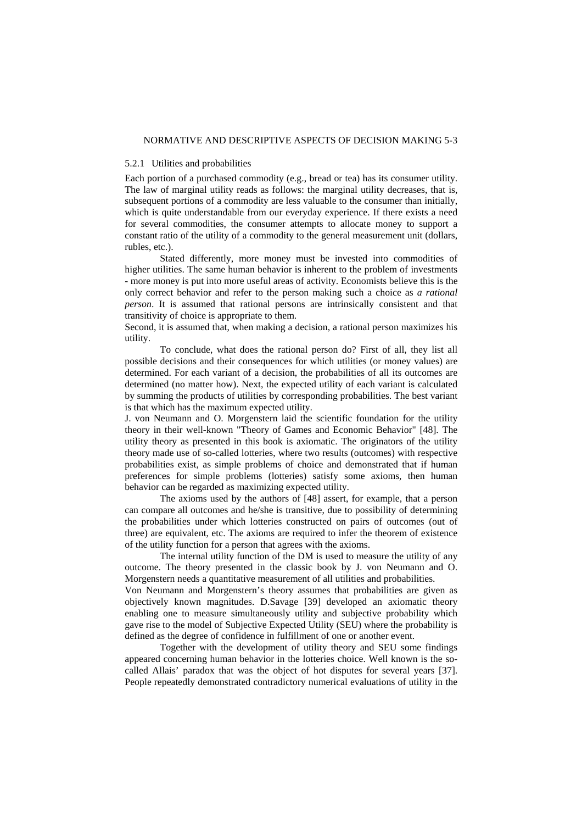#### 5.2.1 Utilities and probabilities

Each portion of a purchased commodity (e.g., bread or tea) has its consumer utility. The law of marginal utility reads as follows: the marginal utility decreases, that is, subsequent portions of a commodity are less valuable to the consumer than initially, which is quite understandable from our everyday experience. If there exists a need for several commodities, the consumer attempts to allocate money to support a constant ratio of the utility of a commodity to the general measurement unit (dollars, rubles, etc.).

Stated differently, more money must be invested into commodities of higher utilities. The same human behavior is inherent to the problem of investments - more money is put into more useful areas of activity. Economists believe this is the only correct behavior and refer to the person making such a choice as *a rational person*. It is assumed that rational persons are intrinsically consistent and that transitivity of choice is appropriate to them.

Second, it is assumed that, when making a decision, a rational person maximizes his utility.

To conclude, what does the rational person do? First of all, they list all possible decisions and their consequences for which utilities (or money values) are determined. For each variant of a decision, the probabilities of all its outcomes are determined (no matter how). Next, the expected utility of each variant is calculated by summing the products of utilities by corresponding probabilities. The best variant is that which has the maximum expected utility.

J. von Neumann and O. Morgenstern laid the scientific foundation for the utility theory in their well-known "Theory of Games and Economic Behavior" [48]. The utility theory as presented in this book is axiomatic. The originators of the utility theory made use of so-called lotteries, where two results (outcomes) with respective probabilities exist, as simple problems of choice and demonstrated that if human preferences for simple problems (lotteries) satisfy some axioms, then human behavior can be regarded as maximizing expected utility.

The axioms used by the authors of [48] assert, for example, that a person can compare all outcomes and he/she is transitive, due to possibility of determining the probabilities under which lotteries constructed on pairs of outcomes (out of three) are equivalent, etc. The axioms are required to infer the theorem of existence of the utility function for a person that agrees with the axioms.

The internal utility function of the DM is used to measure the utility of any outcome. The theory presented in the classic book by J. von Neumann and O. Morgenstern needs a quantitative measurement of all utilities and probabilities.

Von Neumann and Morgenstern's theory assumes that probabilities are given as objectively known magnitudes. D.Savage [39] developed an axiomatic theory enabling one to measure simultaneously utility and subjective probability which gave rise to the model of Subjective Expected Utility (SEU) where the probability is defined as the degree of confidence in fulfillment of one or another event.

Together with the development of utility theory and SEU some findings appeared concerning human behavior in the lotteries choice. Well known is the socalled Allais' paradox that was the object of hot disputes for several years [37]. People repeatedly demonstrated contradictory numerical evaluations of utility in the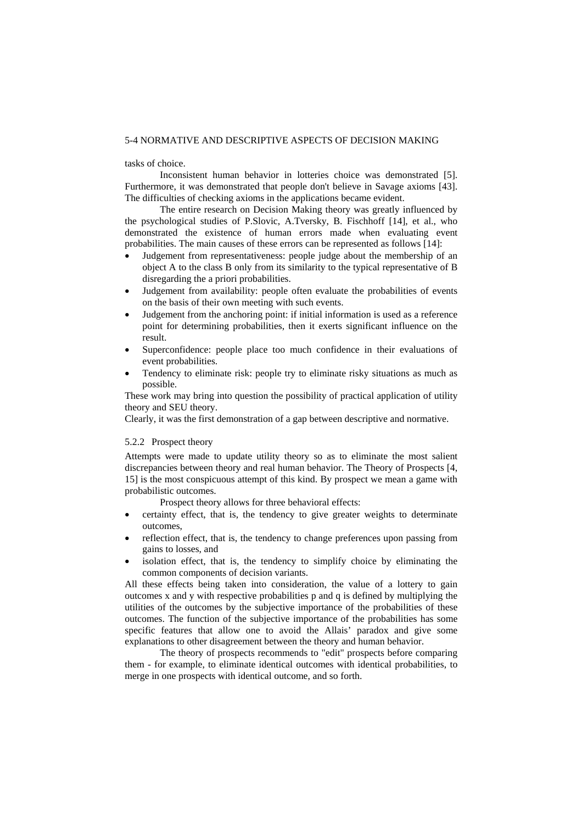tasks of choice.

Inconsistent human behavior in lotteries choice was demonstrated [5]. Furthermore, it was demonstrated that people don't believe in Savage axioms [43]. The difficulties of checking axioms in the applications became evident.

The entire research on Decision Making theory was greatly influenced by the psychological studies of P.Slovic, A.Tversky, B. Fischhoff [14], et al., who demonstrated the existence of human errors made when evaluating event probabilities. The main causes of these errors can be represented as follows [14]:

- Judgement from representativeness: people judge about the membership of an object A to the class B only from its similarity to the typical representative of B disregarding the a priori probabilities.
- Judgement from availability: people often evaluate the probabilities of events on the basis of their own meeting with such events.
- Judgement from the anchoring point: if initial information is used as a reference point for determining probabilities, then it exerts significant influence on the result.
- Superconfidence: people place too much confidence in their evaluations of event probabilities.
- Tendency to eliminate risk: people try to eliminate risky situations as much as possible.

These work may bring into question the possibility of practical application of utility theory and SEU theory.

Clearly, it was the first demonstration of a gap between descriptive and normative.

#### 5.2.2 Prospect theory

Attempts were made to update utility theory so as to eliminate the most salient discrepancies between theory and real human behavior. The Theory of Prospects [4, 15] is the most conspicuous attempt of this kind. By prospect we mean a game with probabilistic outcomes.

Prospect theory allows for three behavioral effects:

- certainty effect, that is, the tendency to give greater weights to determinate outcomes,
- reflection effect, that is, the tendency to change preferences upon passing from gains to losses, and
- isolation effect, that is, the tendency to simplify choice by eliminating the common components of decision variants.

All these effects being taken into consideration, the value of a lottery to gain outcomes x and y with respective probabilities p and q is defined by multiplying the utilities of the outcomes by the subjective importance of the probabilities of these outcomes. The function of the subjective importance of the probabilities has some specific features that allow one to avoid the Allais' paradox and give some explanations to other disagreement between the theory and human behavior.

The theory of prospects recommends to "edit" prospects before comparing them - for example, to eliminate identical outcomes with identical probabilities, to merge in one prospects with identical outcome, and so forth.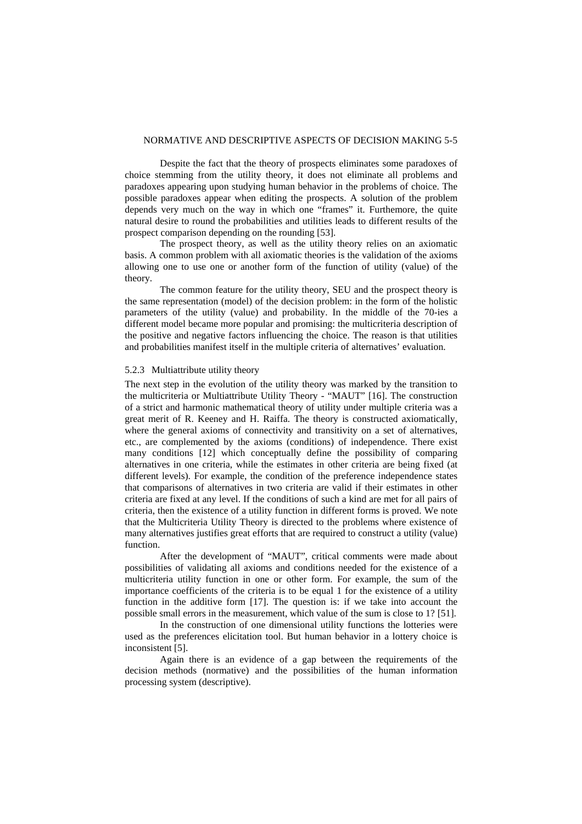Despite the fact that the theory of prospects eliminates some paradoxes of choice stemming from the utility theory, it does not eliminate all problems and paradoxes appearing upon studying human behavior in the problems of choice. The possible paradoxes appear when editing the prospects. A solution of the problem depends very much on the way in which one "frames" it. Furthemore, the quite natural desire to round the probabilities and utilities leads to different results of the prospect comparison depending on the rounding [53].

The prospect theory, as well as the utility theory relies on an axiomatic basis. A common problem with all axiomatic theories is the validation of the axioms allowing one to use one or another form of the function of utility (value) of the theory.

The common feature for the utility theory, SEU and the prospect theory is the same representation (model) of the decision problem: in the form of the holistic parameters of the utility (value) and probability. In the middle of the 70-ies a different model became more popular and promising: the multicriteria description of the positive and negative factors influencing the choice. The reason is that utilities and probabilities manifest itself in the multiple criteria of alternatives' evaluation.

## 5.2.3 Multiattribute utility theory

The next step in the evolution of the utility theory was marked by the transition to the multicriteria or Multiattribute Utility Theory - "MAUT" [16]. The construction of a strict and harmonic mathematical theory of utility under multiple criteria was a great merit of R. Keeney and H. Raiffa. The theory is constructed axiomatically, where the general axioms of connectivity and transitivity on a set of alternatives, etc., are complemented by the axioms (conditions) of independence. There exist many conditions [12] which conceptually define the possibility of comparing alternatives in one criteria, while the estimates in other criteria are being fixed (at different levels). For example, the condition of the preference independence states that comparisons of alternatives in two criteria are valid if their estimates in other criteria are fixed at any level. If the conditions of such a kind are met for all pairs of criteria, then the existence of a utility function in different forms is proved. We note that the Multicriteria Utility Theory is directed to the problems where existence of many alternatives justifies great efforts that are required to construct a utility (value) function.

After the development of "MAUT", critical comments were made about possibilities of validating all axioms and conditions needed for the existence of a multicriteria utility function in one or other form. For example, the sum of the importance coefficients of the criteria is to be equal 1 for the existence of a utility function in the additive form [17]. The question is: if we take into account the possible small errors in the measurement, which value of the sum is close to 1? [51].

In the construction of one dimensional utility functions the lotteries were used as the preferences elicitation tool. But human behavior in a lottery choice is inconsistent [5].

Again there is an evidence of a gap between the requirements of the decision methods (normative) and the possibilities of the human information processing system (descriptive).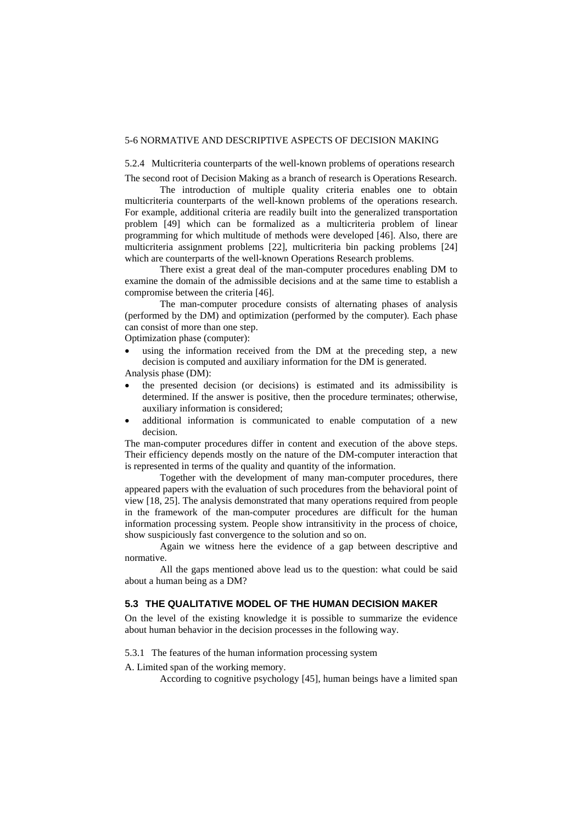5.2.4 Multicriteria counterparts of the well-known problems of operations research

The second root of Decision Making as a branch of research is Operations Research. The introduction of multiple quality criteria enables one to obtain

multicriteria counterparts of the well-known problems of the operations research. For example, additional criteria are readily built into the generalized transportation problem [49] which can be formalized as a multicriteria problem of linear programming for which multitude of methods were developed [46]. Also, there are multicriteria assignment problems [22], multicriteria bin packing problems [24] which are counterparts of the well-known Operations Research problems.

There exist a great deal of the man-computer procedures enabling DM to examine the domain of the admissible decisions and at the same time to establish a compromise between the criteria [46].

The man-computer procedure consists of alternating phases of analysis (performed by the DM) and optimization (performed by the computer). Each phase can consist of more than one step.

Optimization phase (computer):

using the information received from the DM at the preceding step, a new decision is computed and auxiliary information for the DM is generated.

Analysis phase (DM):

- the presented decision (or decisions) is estimated and its admissibility is determined. If the answer is positive, then the procedure terminates; otherwise, auxiliary information is considered;
- additional information is communicated to enable computation of a new decision.

The man-computer procedures differ in content and execution of the above steps. Their efficiency depends mostly on the nature of the DM-computer interaction that is represented in terms of the quality and quantity of the information.

Together with the development of many man-computer procedures, there appeared papers with the evaluation of such procedures from the behavioral point of view [18, 25]. The analysis demonstrated that many operations required from people in the framework of the man-computer procedures are difficult for the human information processing system. People show intransitivity in the process of choice, show suspiciously fast convergence to the solution and so on.

Again we witness here the evidence of a gap between descriptive and normative.

All the gaps mentioned above lead us to the question: what could be said about a human being as a DM?

## **5.3 THE QUALITATIVE MODEL OF THE HUMAN DECISION MAKER**

On the level of the existing knowledge it is possible to summarize the evidence about human behavior in the decision processes in the following way.

5.3.1 The features of the human information processing system

A. Limited span of the working memory.

According to cognitive psychology [45], human beings have a limited span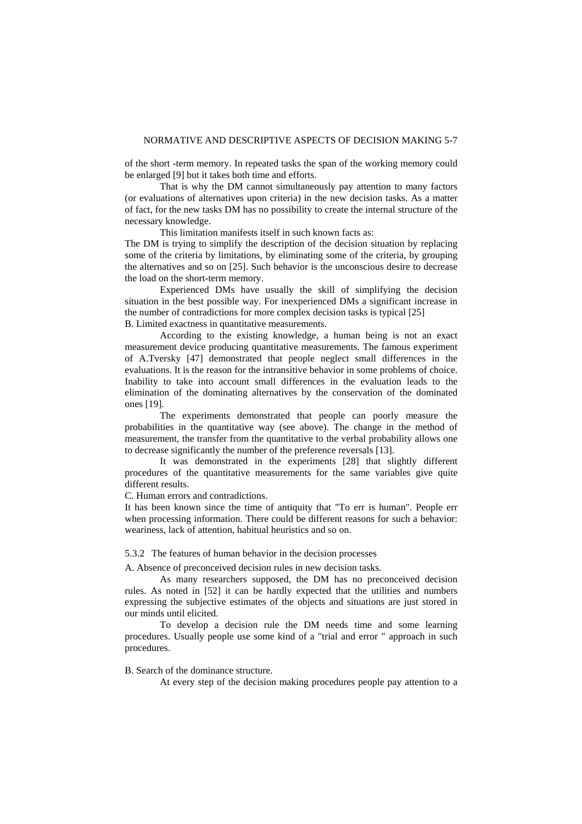of the short -term memory. In repeated tasks the span of the working memory could be enlarged [9] but it takes both time and efforts.

That is why the DM cannot simultaneously pay attention to many factors (or evaluations of alternatives upon criteria) in the new decision tasks. As a matter of fact, for the new tasks DM has no possibility to create the internal structure of the necessary knowledge.

This limitation manifests itself in such known facts as:

The DM is trying to simplify the description of the decision situation by replacing some of the criteria by limitations, by eliminating some of the criteria, by grouping the alternatives and so on [25]. Such behavior is the unconscious desire to decrease the load on the short-term memory.

Experienced DMs have usually the skill of simplifying the decision situation in the best possible way. For inexperienced DMs a significant increase in the number of contradictions for more complex decision tasks is typical [25] B. Limited exactness in quantitative measurements.

According to the existing knowledge, a human being is not an exact measurement device producing quantitative measurements. The famous experiment of A.Tversky [47] demonstrated that people neglect small differences in the evaluations. It is the reason for the intransitive behavior in some problems of choice. Inability to take into account small differences in the evaluation leads to the elimination of the dominating alternatives by the conservation of the dominated ones [19].

The experiments demonstrated that people can poorly measure the probabilities in the quantitative way (see above). The change in the method of measurement, the transfer from the quantitative to the verbal probability allows one to decrease significantly the number of the preference reversals [13].

It was demonstrated in the experiments [28] that slightly different procedures of the quantitative measurements for the same variables give quite different results.

C. Human errors and contradictions.

It has been known since the time of antiquity that "To err is human". People err when processing information. There could be different reasons for such a behavior: weariness, lack of attention, habitual heuristics and so on.

5.3.2 The features of human behavior in the decision processes

A. Absence of preconceived decision rules in new decision tasks.

As many researchers supposed, the DM has no preconceived decision rules. As noted in [52] it can be hardly expected that the utilities and numbers expressing the subjective estimates of the objects and situations are just stored in our minds until elicited.

To develop a decision rule the DM needs time and some learning procedures. Usually people use some kind of a "trial and error " approach in such procedures.

B. Search of the dominance structure.

At every step of the decision making procedures people pay attention to a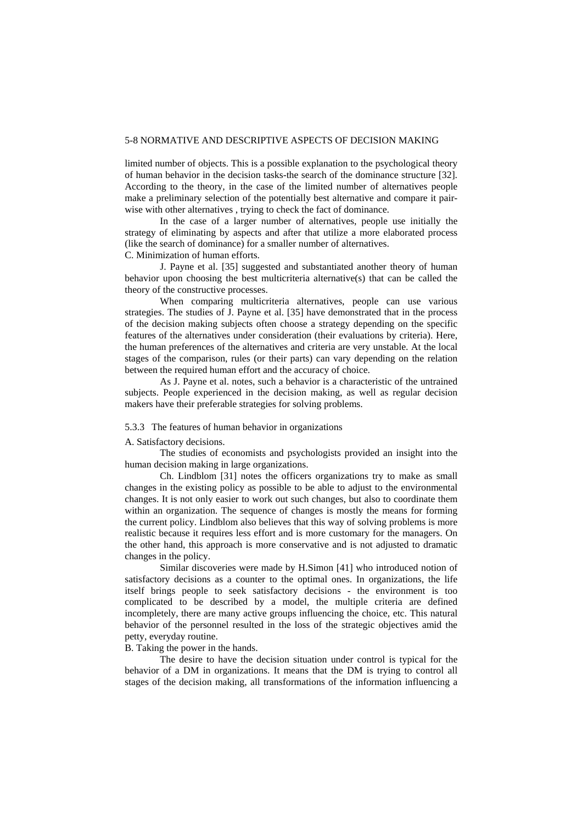limited number of objects. This is a possible explanation to the psychological theory of human behavior in the decision tasks-the search of the dominance structure [32]. According to the theory, in the case of the limited number of alternatives people make a preliminary selection of the potentially best alternative and compare it pairwise with other alternatives , trying to check the fact of dominance.

In the case of a larger number of alternatives, people use initially the strategy of eliminating by aspects and after that utilize a more elaborated process (like the search of dominance) for a smaller number of alternatives. C. Minimization of human efforts.

J. Payne et al. [35] suggested and substantiated another theory of human behavior upon choosing the best multicriteria alternative(s) that can be called the theory of the constructive processes.

When comparing multicriteria alternatives, people can use various strategies. The studies of J. Payne et al. [35] have demonstrated that in the process of the decision making subjects often choose a strategy depending on the specific features of the alternatives under consideration (their evaluations by criteria). Here, the human preferences of the alternatives and criteria are very unstable. At the local stages of the comparison, rules (or their parts) can vary depending on the relation between the required human effort and the accuracy of choice.

As J. Payne et al. notes, such a behavior is a characteristic of the untrained subjects. People experienced in the decision making, as well as regular decision makers have their preferable strategies for solving problems.

#### 5.3.3 The features of human behavior in organizations

A. Satisfactory decisions.

The studies of economists and psychologists provided an insight into the human decision making in large organizations.

Ch. Lindblom [31] notes the officers organizations try to make as small changes in the existing policy as possible to be able to adjust to the environmental changes. It is not only easier to work out such changes, but also to coordinate them within an organization. The sequence of changes is mostly the means for forming the current policy. Lindblom also believes that this way of solving problems is more realistic because it requires less effort and is more customary for the managers. On the other hand, this approach is more conservative and is not adjusted to dramatic changes in the policy.

Similar discoveries were made by H.Simon [41] who introduced notion of satisfactory decisions as a counter to the optimal ones. In organizations, the life itself brings people to seek satisfactory decisions - the environment is too complicated to be described by a model, the multiple criteria are defined incompletely, there are many active groups influencing the choice, etc. This natural behavior of the personnel resulted in the loss of the strategic objectives amid the petty, everyday routine.

B. Taking the power in the hands.

The desire to have the decision situation under control is typical for the behavior of a DM in organizations. It means that the DM is trying to control all stages of the decision making, all transformations of the information influencing a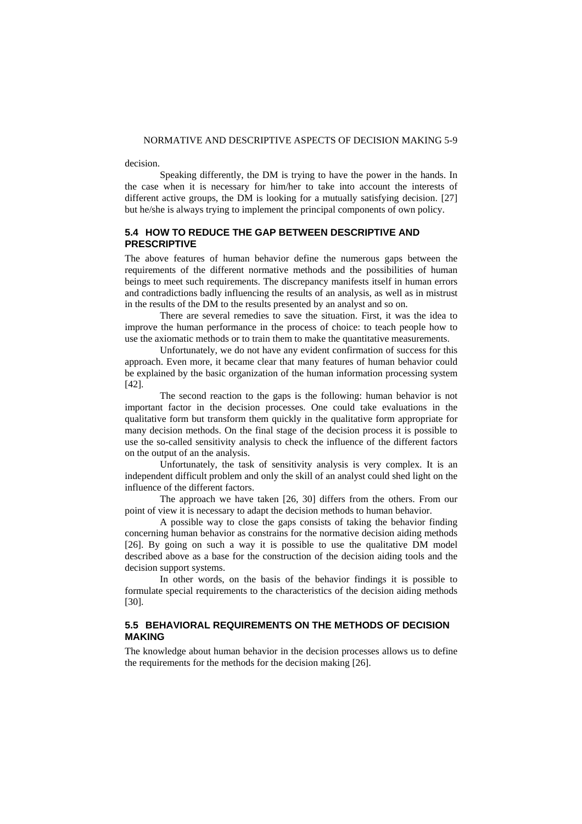decision.

Speaking differently, the DM is trying to have the power in the hands. In the case when it is necessary for him/her to take into account the interests of different active groups, the DM is looking for a mutually satisfying decision. [27] but he/she is always trying to implement the principal components of own policy.

## **5.4 HOW TO REDUCE THE GAP BETWEEN DESCRIPTIVE AND PRESCRIPTIVE**

The above features of human behavior define the numerous gaps between the requirements of the different normative methods and the possibilities of human beings to meet such requirements. The discrepancy manifests itself in human errors and contradictions badly influencing the results of an analysis, as well as in mistrust in the results of the DM to the results presented by an analyst and so on.

There are several remedies to save the situation. First, it was the idea to improve the human performance in the process of choice: to teach people how to use the axiomatic methods or to train them to make the quantitative measurements.

Unfortunately, we do not have any evident confirmation of success for this approach. Even more, it became clear that many features of human behavior could be explained by the basic organization of the human information processing system [42].

The second reaction to the gaps is the following: human behavior is not important factor in the decision processes. One could take evaluations in the qualitative form but transform them quickly in the qualitative form appropriate for many decision methods. On the final stage of the decision process it is possible to use the so-called sensitivity analysis to check the influence of the different factors on the output of an the analysis.

Unfortunately, the task of sensitivity analysis is very complex. It is an independent difficult problem and only the skill of an analyst could shed light on the influence of the different factors.

The approach we have taken [26, 30] differs from the others. From our point of view it is necessary to adapt the decision methods to human behavior.

A possible way to close the gaps consists of taking the behavior finding concerning human behavior as constrains for the normative decision aiding methods [26]. By going on such a way it is possible to use the qualitative DM model described above as a base for the construction of the decision aiding tools and the decision support systems.

In other words, on the basis of the behavior findings it is possible to formulate special requirements to the characteristics of the decision aiding methods [30].

## **5.5 BEHAVIORAL REQUIREMENTS ON THE METHODS OF DECISION MAKING**

The knowledge about human behavior in the decision processes allows us to define the requirements for the methods for the decision making [26].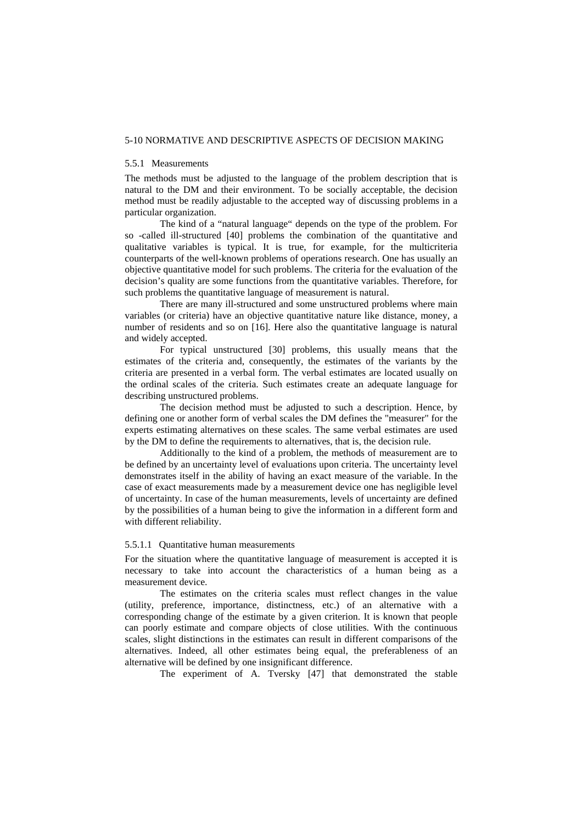## 5.5.1 Measurements

The methods must be adjusted to the language of the problem description that is natural to the DM and their environment. To be socially acceptable, the decision method must be readily adjustable to the accepted way of discussing problems in a particular organization.

The kind of a "natural language" depends on the type of the problem. For so -called ill-structured [40] problems the combination of the quantitative and qualitative variables is typical. It is true, for example, for the multicriteria counterparts of the well-known problems of operations research. One has usually an objective quantitative model for such problems. The criteria for the evaluation of the decision's quality are some functions from the quantitative variables. Therefore, for such problems the quantitative language of measurement is natural.

There are many ill-structured and some unstructured problems where main variables (or criteria) have an objective quantitative nature like distance, money, a number of residents and so on [16]. Here also the quantitative language is natural and widely accepted.

For typical unstructured [30] problems, this usually means that the estimates of the criteria and, consequently, the estimates of the variants by the criteria are presented in a verbal form. The verbal estimates are located usually on the ordinal scales of the criteria. Such estimates create an adequate language for describing unstructured problems.

The decision method must be adjusted to such a description. Hence, by defining one or another form of verbal scales the DM defines the "measurer" for the experts estimating alternatives on these scales. The same verbal estimates are used by the DM to define the requirements to alternatives, that is, the decision rule.

Additionally to the kind of a problem, the methods of measurement are to be defined by an uncertainty level of evaluations upon criteria. The uncertainty level demonstrates itself in the ability of having an exact measure of the variable. In the case of exact measurements made by a measurement device one has negligible level of uncertainty. In case of the human measurements, levels of uncertainty are defined by the possibilities of a human being to give the information in a different form and with different reliability.

## 5.5.1.1 Quantitative human measurements

For the situation where the quantitative language of measurement is accepted it is necessary to take into account the characteristics of a human being as a measurement device.

The estimates on the criteria scales must reflect changes in the value (utility, preference, importance, distinctness, etc.) of an alternative with a corresponding change of the estimate by a given criterion. It is known that people can poorly estimate and compare objects of close utilities. With the continuous scales, slight distinctions in the estimates can result in different comparisons of the alternatives. Indeed, all other estimates being equal, the preferableness of an alternative will be defined by one insignificant difference.

The experiment of A. Tversky [47] that demonstrated the stable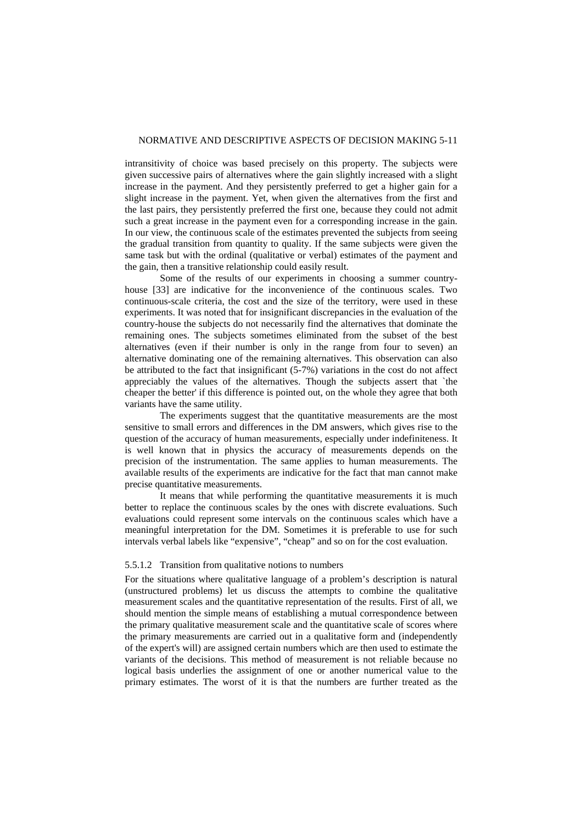intransitivity of choice was based precisely on this property. The subjects were given successive pairs of alternatives where the gain slightly increased with a slight increase in the payment. And they persistently preferred to get a higher gain for a slight increase in the payment. Yet, when given the alternatives from the first and the last pairs, they persistently preferred the first one, because they could not admit such a great increase in the payment even for a corresponding increase in the gain. In our view, the continuous scale of the estimates prevented the subjects from seeing the gradual transition from quantity to quality. If the same subjects were given the same task but with the ordinal (qualitative or verbal) estimates of the payment and the gain, then a transitive relationship could easily result.

Some of the results of our experiments in choosing a summer countryhouse [33] are indicative for the inconvenience of the continuous scales. Two continuous-scale criteria, the cost and the size of the territory, were used in these experiments. It was noted that for insignificant discrepancies in the evaluation of the country-house the subjects do not necessarily find the alternatives that dominate the remaining ones. The subjects sometimes eliminated from the subset of the best alternatives (even if their number is only in the range from four to seven) an alternative dominating one of the remaining alternatives. This observation can also be attributed to the fact that insignificant  $(5-7%)$  variations in the cost do not affect appreciably the values of the alternatives. Though the subjects assert that `the cheaper the better' if this difference is pointed out, on the whole they agree that both variants have the same utility.

The experiments suggest that the quantitative measurements are the most sensitive to small errors and differences in the DM answers, which gives rise to the question of the accuracy of human measurements, especially under indefiniteness. It is well known that in physics the accuracy of measurements depends on the precision of the instrumentation. The same applies to human measurements. The available results of the experiments are indicative for the fact that man cannot make precise quantitative measurements.

It means that while performing the quantitative measurements it is much better to replace the continuous scales by the ones with discrete evaluations. Such evaluations could represent some intervals on the continuous scales which have a meaningful interpretation for the DM. Sometimes it is preferable to use for such intervals verbal labels like "expensive", "cheap" and so on for the cost evaluation.

#### 5.5.1.2 Transition from qualitative notions to numbers

For the situations where qualitative language of a problem's description is natural (unstructured problems) let us discuss the attempts to combine the qualitative measurement scales and the quantitative representation of the results. First of all, we should mention the simple means of establishing a mutual correspondence between the primary qualitative measurement scale and the quantitative scale of scores where the primary measurements are carried out in a qualitative form and (independently of the expert's will) are assigned certain numbers which are then used to estimate the variants of the decisions. This method of measurement is not reliable because no logical basis underlies the assignment of one or another numerical value to the primary estimates. The worst of it is that the numbers are further treated as the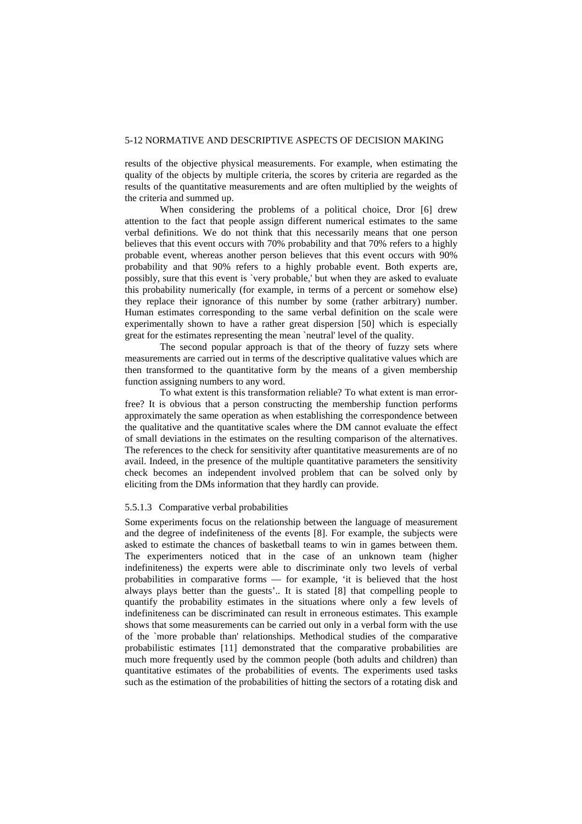results of the objective physical measurements. For example, when estimating the quality of the objects by multiple criteria, the scores by criteria are regarded as the results of the quantitative measurements and are often multiplied by the weights of the criteria and summed up.

When considering the problems of a political choice, Dror [6] drew attention to the fact that people assign different numerical estimates to the same verbal definitions. We do not think that this necessarily means that one person believes that this event occurs with 70% probability and that 70% refers to a highly probable event, whereas another person believes that this event occurs with 90% probability and that 90% refers to a highly probable event. Both experts are, possibly, sure that this event is `very probable,' but when they are asked to evaluate this probability numerically (for example, in terms of a percent or somehow else) they replace their ignorance of this number by some (rather arbitrary) number. Human estimates corresponding to the same verbal definition on the scale were experimentally shown to have a rather great dispersion [50] which is especially great for the estimates representing the mean `neutral' level of the quality.

The second popular approach is that of the theory of fuzzy sets where measurements are carried out in terms of the descriptive qualitative values which are then transformed to the quantitative form by the means of a given membership function assigning numbers to any word.

To what extent is this transformation reliable? To what extent is man errorfree? It is obvious that a person constructing the membership function performs approximately the same operation as when establishing the correspondence between the qualitative and the quantitative scales where the DM cannot evaluate the effect of small deviations in the estimates on the resulting comparison of the alternatives. The references to the check for sensitivity after quantitative measurements are of no avail. Indeed, in the presence of the multiple quantitative parameters the sensitivity check becomes an independent involved problem that can be solved only by eliciting from the DMs information that they hardly can provide.

## 5.5.1.3 Comparative verbal probabilities

Some experiments focus on the relationship between the language of measurement and the degree of indefiniteness of the events [8]. For example, the subjects were asked to estimate the chances of basketball teams to win in games between them. The experimenters noticed that in the case of an unknown team (higher indefiniteness) the experts were able to discriminate only two levels of verbal probabilities in comparative forms — for example, 'it is believed that the host always plays better than the guests'.. It is stated [8] that compelling people to quantify the probability estimates in the situations where only a few levels of indefiniteness can be discriminated can result in erroneous estimates. This example shows that some measurements can be carried out only in a verbal form with the use of the `more probable than' relationships. Methodical studies of the comparative probabilistic estimates [11] demonstrated that the comparative probabilities are much more frequently used by the common people (both adults and children) than quantitative estimates of the probabilities of events. The experiments used tasks such as the estimation of the probabilities of hitting the sectors of a rotating disk and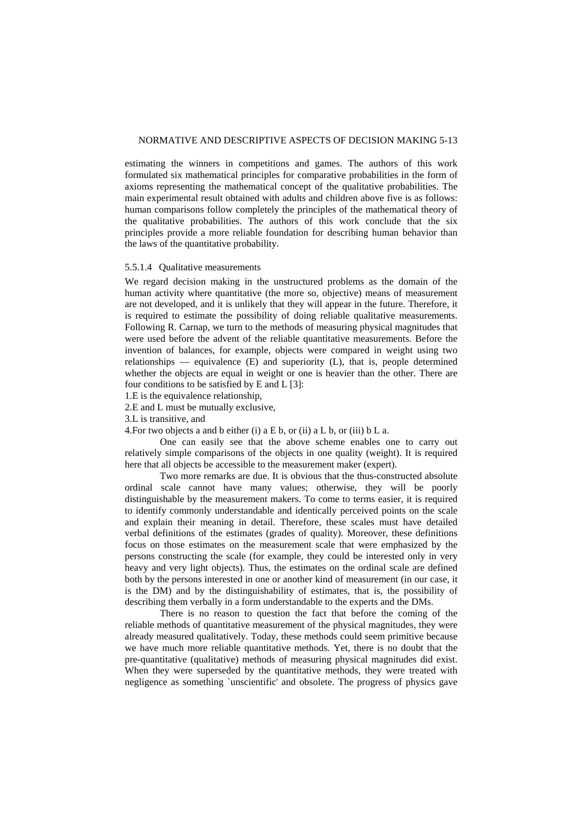estimating the winners in competitions and games. The authors of this work formulated six mathematical principles for comparative probabilities in the form of axioms representing the mathematical concept of the qualitative probabilities. The main experimental result obtained with adults and children above five is as follows: human comparisons follow completely the principles of the mathematical theory of the qualitative probabilities. The authors of this work conclude that the six principles provide a more reliable foundation for describing human behavior than the laws of the quantitative probability.

## 5.5.1.4 Qualitative measurements

We regard decision making in the unstructured problems as the domain of the human activity where quantitative (the more so, objective) means of measurement are not developed, and it is unlikely that they will appear in the future. Therefore, it is required to estimate the possibility of doing reliable qualitative measurements. Following R. Carnap, we turn to the methods of measuring physical magnitudes that were used before the advent of the reliable quantitative measurements. Before the invention of balances, for example, objects were compared in weight using two relationships — equivalence  $(E)$  and superiority  $(L)$ , that is, people determined whether the objects are equal in weight or one is heavier than the other. There are four conditions to be satisfied by E and L [3]:

- 1.E is the equivalence relationship,
- 2.E and L must be mutually exclusive,

3.L is transitive, and

4. For two objects a and b either (i) a E b, or (ii) a L b, or (iii)  $b$  L a.

One can easily see that the above scheme enables one to carry out relatively simple comparisons of the objects in one quality (weight). It is required here that all objects be accessible to the measurement maker (expert).

Two more remarks are due. It is obvious that the thus-constructed absolute ordinal scale cannot have many values; otherwise, they will be poorly distinguishable by the measurement makers. To come to terms easier, it is required to identify commonly understandable and identically perceived points on the scale and explain their meaning in detail. Therefore, these scales must have detailed verbal definitions of the estimates (grades of quality). Moreover, these definitions focus on those estimates on the measurement scale that were emphasized by the persons constructing the scale (for example, they could be interested only in very heavy and very light objects). Thus, the estimates on the ordinal scale are defined both by the persons interested in one or another kind of measurement (in our case, it is the DM) and by the distinguishability of estimates, that is, the possibility of describing them verbally in a form understandable to the experts and the DMs.

There is no reason to question the fact that before the coming of the reliable methods of quantitative measurement of the physical magnitudes, they were already measured qualitatively. Today, these methods could seem primitive because we have much more reliable quantitative methods. Yet, there is no doubt that the pre-quantitative (qualitative) methods of measuring physical magnitudes did exist. When they were superseded by the quantitative methods, they were treated with negligence as something `unscientific' and obsolete. The progress of physics gave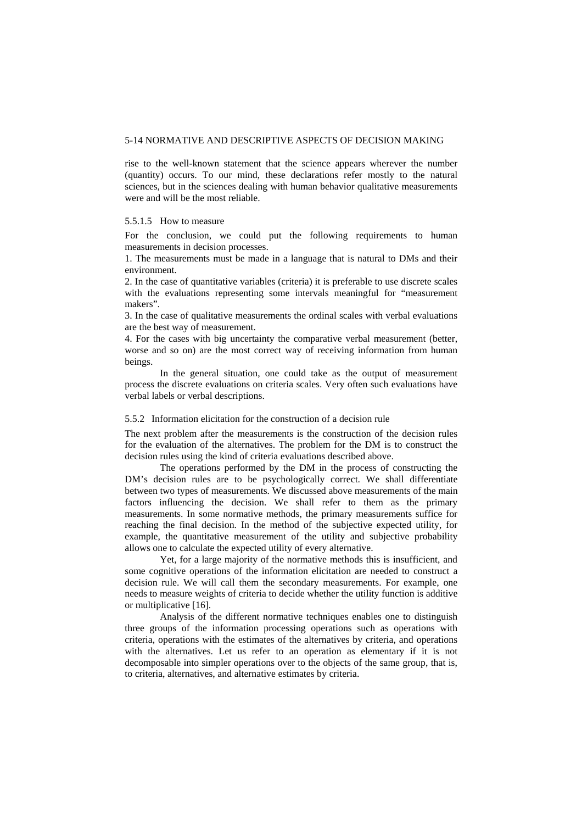rise to the well-known statement that the science appears wherever the number (quantity) occurs. To our mind, these declarations refer mostly to the natural sciences, but in the sciences dealing with human behavior qualitative measurements were and will be the most reliable.

#### 5.5.1.5 How to measure

For the conclusion, we could put the following requirements to human measurements in decision processes.

1. The measurements must be made in a language that is natural to DMs and their environment.

2. In the case of quantitative variables (criteria) it is preferable to use discrete scales with the evaluations representing some intervals meaningful for "measurement makers".

3. In the case of qualitative measurements the ordinal scales with verbal evaluations are the best way of measurement.

4. For the cases with big uncertainty the comparative verbal measurement (better, worse and so on) are the most correct way of receiving information from human beings.

In the general situation, one could take as the output of measurement process the discrete evaluations on criteria scales. Very often such evaluations have verbal labels or verbal descriptions.

#### 5.5.2 Information elicitation for the construction of a decision rule

The next problem after the measurements is the construction of the decision rules for the evaluation of the alternatives. The problem for the DM is to construct the decision rules using the kind of criteria evaluations described above.

The operations performed by the DM in the process of constructing the DM's decision rules are to be psychologically correct. We shall differentiate between two types of measurements. We discussed above measurements of the main factors influencing the decision. We shall refer to them as the primary measurements. In some normative methods, the primary measurements suffice for reaching the final decision. In the method of the subjective expected utility, for example, the quantitative measurement of the utility and subjective probability allows one to calculate the expected utility of every alternative.

Yet, for a large majority of the normative methods this is insufficient, and some cognitive operations of the information elicitation are needed to construct a decision rule. We will call them the secondary measurements. For example, one needs to measure weights of criteria to decide whether the utility function is additive or multiplicative [16].

Analysis of the different normative techniques enables one to distinguish three groups of the information processing operations such as operations with criteria, operations with the estimates of the alternatives by criteria, and operations with the alternatives. Let us refer to an operation as elementary if it is not decomposable into simpler operations over to the objects of the same group, that is, to criteria, alternatives, and alternative estimates by criteria.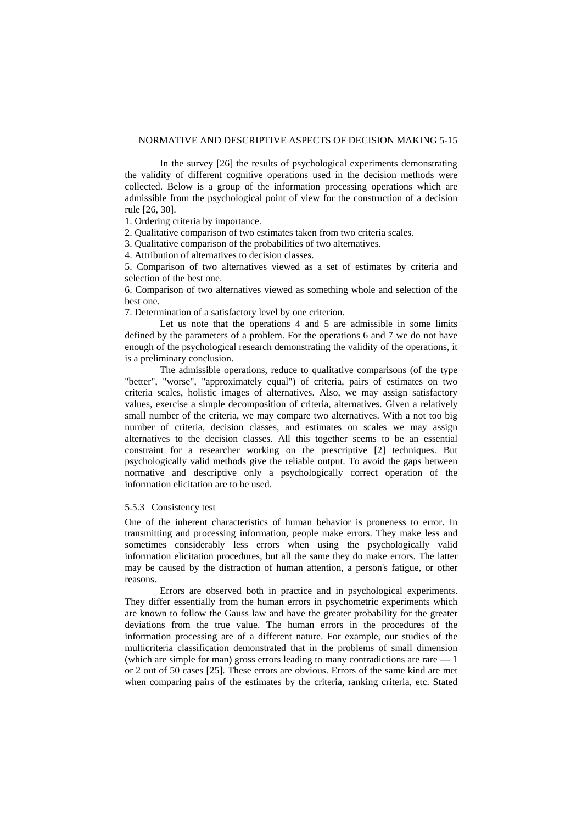In the survey [26] the results of psychological experiments demonstrating the validity of different cognitive operations used in the decision methods were collected. Below is a group of the information processing operations which are admissible from the psychological point of view for the construction of a decision rule [26, 30].

1. Ordering criteria by importance.

2. Qualitative comparison of two estimates taken from two criteria scales.

3. Qualitative comparison of the probabilities of two alternatives.

4. Attribution of alternatives to decision classes.

5. Comparison of two alternatives viewed as a set of estimates by criteria and selection of the best one.

6. Comparison of two alternatives viewed as something whole and selection of the best one.

7. Determination of a satisfactory level by one criterion.

Let us note that the operations 4 and 5 are admissible in some limits defined by the parameters of a problem. For the operations 6 and 7 we do not have enough of the psychological research demonstrating the validity of the operations, it is a preliminary conclusion.

The admissible operations, reduce to qualitative comparisons (of the type "better", "worse", "approximately equal") of criteria, pairs of estimates on two criteria scales, holistic images of alternatives. Also, we may assign satisfactory values, exercise a simple decomposition of criteria, alternatives. Given a relatively small number of the criteria, we may compare two alternatives. With a not too big number of criteria, decision classes, and estimates on scales we may assign alternatives to the decision classes. All this together seems to be an essential constraint for a researcher working on the prescriptive [2] techniques. But psychologically valid methods give the reliable output. To avoid the gaps between normative and descriptive only a psychologically correct operation of the information elicitation are to be used.

#### 5.5.3 Consistency test

One of the inherent characteristics of human behavior is proneness to error. In transmitting and processing information, people make errors. They make less and sometimes considerably less errors when using the psychologically valid information elicitation procedures, but all the same they do make errors. The latter may be caused by the distraction of human attention, a person's fatigue, or other reasons.

Errors are observed both in practice and in psychological experiments. They differ essentially from the human errors in psychometric experiments which are known to follow the Gauss law and have the greater probability for the greater deviations from the true value. The human errors in the procedures of the information processing are of a different nature. For example, our studies of the multicriteria classification demonstrated that in the problems of small dimension (which are simple for man) gross errors leading to many contradictions are rare  $-1$ or 2 out of 50 cases [25]. These errors are obvious. Errors of the same kind are met when comparing pairs of the estimates by the criteria, ranking criteria, etc. Stated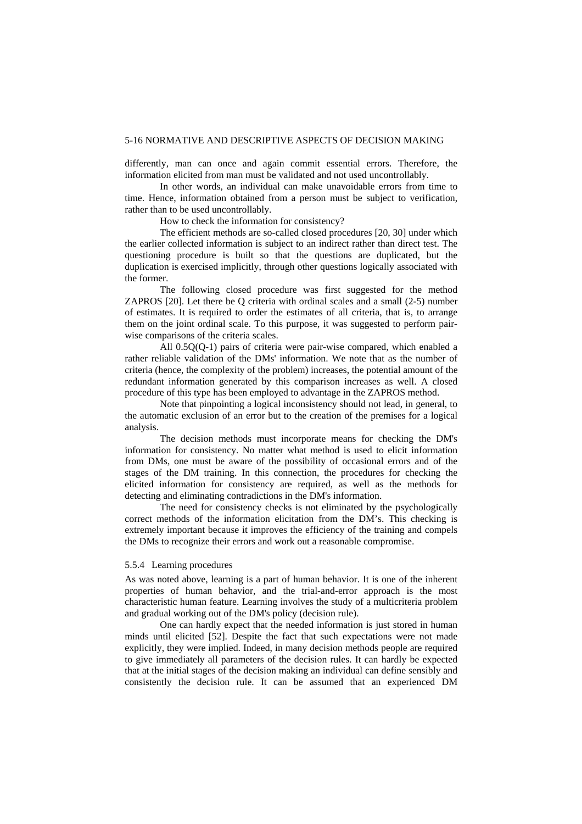differently, man can once and again commit essential errors. Therefore, the information elicited from man must be validated and not used uncontrollably.

In other words, an individual can make unavoidable errors from time to time. Hence, information obtained from a person must be subject to verification, rather than to be used uncontrollably.

How to check the information for consistency?

The efficient methods are so-called closed procedures [20, 30] under which the earlier collected information is subject to an indirect rather than direct test. The questioning procedure is built so that the questions are duplicated, but the duplication is exercised implicitly, through other questions logically associated with the former.

The following closed procedure was first suggested for the method ZAPROS [20]. Let there be Q criteria with ordinal scales and a small (2-5) number of estimates. It is required to order the estimates of all criteria, that is, to arrange them on the joint ordinal scale. To this purpose, it was suggested to perform pairwise comparisons of the criteria scales.

All 0.5Q(Q-1) pairs of criteria were pair-wise compared, which enabled a rather reliable validation of the DMs' information. We note that as the number of criteria (hence, the complexity of the problem) increases, the potential amount of the redundant information generated by this comparison increases as well. A closed procedure of this type has been employed to advantage in the ZAPROS method.

Note that pinpointing a logical inconsistency should not lead, in general, to the automatic exclusion of an error but to the creation of the premises for a logical analysis.

The decision methods must incorporate means for checking the DM's information for consistency. No matter what method is used to elicit information from DMs, one must be aware of the possibility of occasional errors and of the stages of the DM training. In this connection, the procedures for checking the elicited information for consistency are required, as well as the methods for detecting and eliminating contradictions in the DM's information.

The need for consistency checks is not eliminated by the psychologically correct methods of the information elicitation from the DM's. This checking is extremely important because it improves the efficiency of the training and compels the DMs to recognize their errors and work out a reasonable compromise.

#### 5.5.4 Learning procedures

As was noted above, learning is a part of human behavior. It is one of the inherent properties of human behavior, and the trial-and-error approach is the most characteristic human feature. Learning involves the study of a multicriteria problem and gradual working out of the DM's policy (decision rule).

One can hardly expect that the needed information is just stored in human minds until elicited [52]. Despite the fact that such expectations were not made explicitly, they were implied. Indeed, in many decision methods people are required to give immediately all parameters of the decision rules. It can hardly be expected that at the initial stages of the decision making an individual can define sensibly and consistently the decision rule. It can be assumed that an experienced DM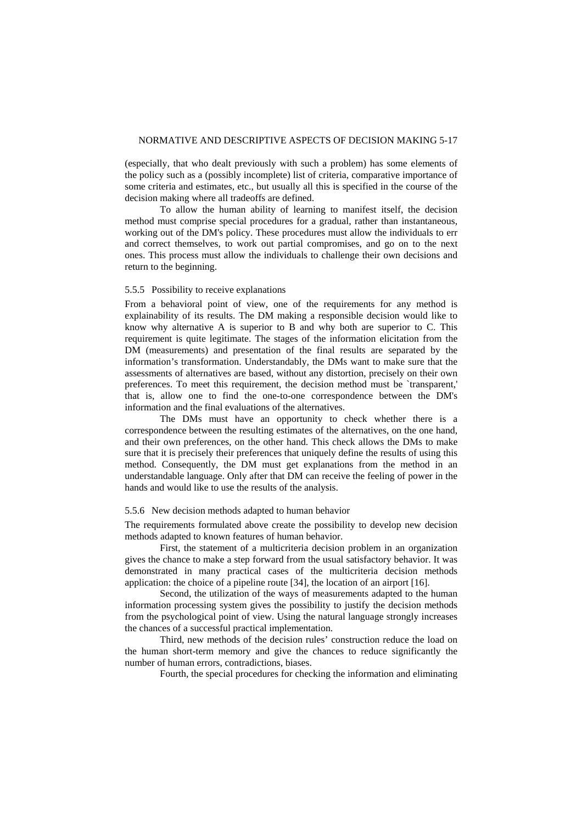(especially, that who dealt previously with such a problem) has some elements of the policy such as a (possibly incomplete) list of criteria, comparative importance of some criteria and estimates, etc., but usually all this is specified in the course of the decision making where all tradeoffs are defined.

To allow the human ability of learning to manifest itself, the decision method must comprise special procedures for a gradual, rather than instantaneous, working out of the DM's policy. These procedures must allow the individuals to err and correct themselves, to work out partial compromises, and go on to the next ones. This process must allow the individuals to challenge their own decisions and return to the beginning.

#### 5.5.5 Possibility to receive explanations

From a behavioral point of view, one of the requirements for any method is explainability of its results. The DM making a responsible decision would like to know why alternative A is superior to B and why both are superior to C. This requirement is quite legitimate. The stages of the information elicitation from the DM (measurements) and presentation of the final results are separated by the information's transformation. Understandably, the DMs want to make sure that the assessments of alternatives are based, without any distortion, precisely on their own preferences. To meet this requirement, the decision method must be `transparent,' that is, allow one to find the one-to-one correspondence between the DM's information and the final evaluations of the alternatives.

The DMs must have an opportunity to check whether there is a correspondence between the resulting estimates of the alternatives, on the one hand, and their own preferences, on the other hand. This check allows the DMs to make sure that it is precisely their preferences that uniquely define the results of using this method. Consequently, the DM must get explanations from the method in an understandable language. Only after that DM can receive the feeling of power in the hands and would like to use the results of the analysis.

#### 5.5.6 New decision methods adapted to human behavior

The requirements formulated above create the possibility to develop new decision methods adapted to known features of human behavior.

First, the statement of a multicriteria decision problem in an organization gives the chance to make a step forward from the usual satisfactory behavior. It was demonstrated in many practical cases of the multicriteria decision methods application: the choice of a pipeline route [34], the location of an airport [16].

Second, the utilization of the ways of measurements adapted to the human information processing system gives the possibility to justify the decision methods from the psychological point of view. Using the natural language strongly increases the chances of a successful practical implementation.

Third, new methods of the decision rules' construction reduce the load on the human short-term memory and give the chances to reduce significantly the number of human errors, contradictions, biases.

Fourth, the special procedures for checking the information and eliminating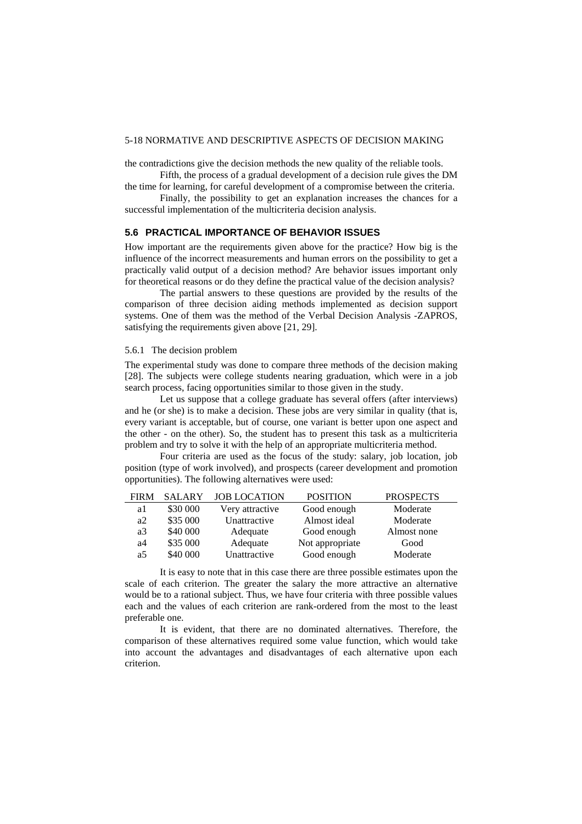the contradictions give the decision methods the new quality of the reliable tools.

Fifth, the process of a gradual development of a decision rule gives the DM the time for learning, for careful development of a compromise between the criteria.

Finally, the possibility to get an explanation increases the chances for a successful implementation of the multicriteria decision analysis.

## **5.6 PRACTICAL IMPORTANCE OF BEHAVIOR ISSUES**

How important are the requirements given above for the practice? How big is the influence of the incorrect measurements and human errors on the possibility to get a practically valid output of a decision method? Are behavior issues important only for theoretical reasons or do they define the practical value of the decision analysis?

The partial answers to these questions are provided by the results of the comparison of three decision aiding methods implemented as decision support systems. One of them was the method of the Verbal Decision Analysis -ZAPROS, satisfying the requirements given above [21, 29].

## 5.6.1 The decision problem

The experimental study was done to compare three methods of the decision making [28]. The subjects were college students nearing graduation, which were in a job search process, facing opportunities similar to those given in the study.

Let us suppose that a college graduate has several offers (after interviews) and he (or she) is to make a decision. These jobs are very similar in quality (that is, every variant is acceptable, but of course, one variant is better upon one aspect and the other - on the other). So, the student has to present this task as a multicriteria problem and try to solve it with the help of an appropriate multicriteria method.

Four criteria are used as the focus of the study: salary, job location, job position (type of work involved), and prospects (career development and promotion opportunities). The following alternatives were used:

| <b>FIRM</b>    | <b>SALARY</b> | <b>JOB LOCATION</b> | <b>POSITION</b> | <b>PROSPECTS</b> |
|----------------|---------------|---------------------|-----------------|------------------|
| a1             | \$30 000      | Very attractive     | Good enough     | Moderate         |
| a2             | \$35 000      | Unattractive        | Almost ideal    | Moderate         |
| a <sub>3</sub> | \$40 000      | Adequate            | Good enough     | Almost none      |
| a4             | \$35 000      | Adequate            | Not appropriate | Good             |
| a <sub>5</sub> | \$40 000      | Unattractive        | Good enough     | Moderate         |

It is easy to note that in this case there are three possible estimates upon the scale of each criterion. The greater the salary the more attractive an alternative would be to a rational subject. Thus, we have four criteria with three possible values each and the values of each criterion are rank-ordered from the most to the least preferable one.

It is evident, that there are no dominated alternatives. Therefore, the comparison of these alternatives required some value function, which would take into account the advantages and disadvantages of each alternative upon each criterion.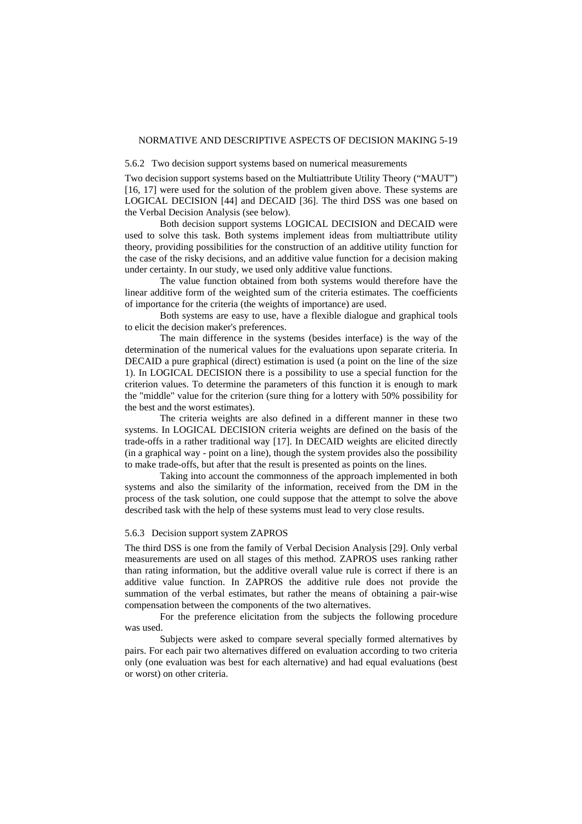#### 5.6.2 Two decision support systems based on numerical measurements

Two decision support systems based on the Multiattribute Utility Theory ("MAUT") [16, 17] were used for the solution of the problem given above. These systems are LOGICAL DECISION [44] and DECAID [36]. The third DSS was one based on the Verbal Decision Analysis (see below).

Both decision support systems LOGICAL DECISION and DECAID were used to solve this task. Both systems implement ideas from multiattribute utility theory, providing possibilities for the construction of an additive utility function for the case of the risky decisions, and an additive value function for a decision making under certainty. In our study, we used only additive value functions.

The value function obtained from both systems would therefore have the linear additive form of the weighted sum of the criteria estimates. The coefficients of importance for the criteria (the weights of importance) are used.

Both systems are easy to use, have a flexible dialogue and graphical tools to elicit the decision maker's preferences.

The main difference in the systems (besides interface) is the way of the determination of the numerical values for the evaluations upon separate criteria. In DECAID a pure graphical (direct) estimation is used (a point on the line of the size 1). In LOGICAL DECISION there is a possibility to use a special function for the criterion values. To determine the parameters of this function it is enough to mark the "middle" value for the criterion (sure thing for a lottery with 50% possibility for the best and the worst estimates).

The criteria weights are also defined in a different manner in these two systems. In LOGICAL DECISION criteria weights are defined on the basis of the trade-offs in a rather traditional way [17]. In DECAID weights are elicited directly (in a graphical way - point on a line), though the system provides also the possibility to make trade-offs, but after that the result is presented as points on the lines.

Taking into account the commonness of the approach implemented in both systems and also the similarity of the information, received from the DM in the process of the task solution, one could suppose that the attempt to solve the above described task with the help of these systems must lead to very close results.

## 5.6.3 Decision support system ZAPROS

The third DSS is one from the family of Verbal Decision Analysis [29]. Only verbal measurements are used on all stages of this method. ZAPROS uses ranking rather than rating information, but the additive overall value rule is correct if there is an additive value function. In ZAPROS the additive rule does not provide the summation of the verbal estimates, but rather the means of obtaining a pair-wise compensation between the components of the two alternatives.

For the preference elicitation from the subjects the following procedure was used.

Subjects were asked to compare several specially formed alternatives by pairs. For each pair two alternatives differed on evaluation according to two criteria only (one evaluation was best for each alternative) and had equal evaluations (best or worst) on other criteria.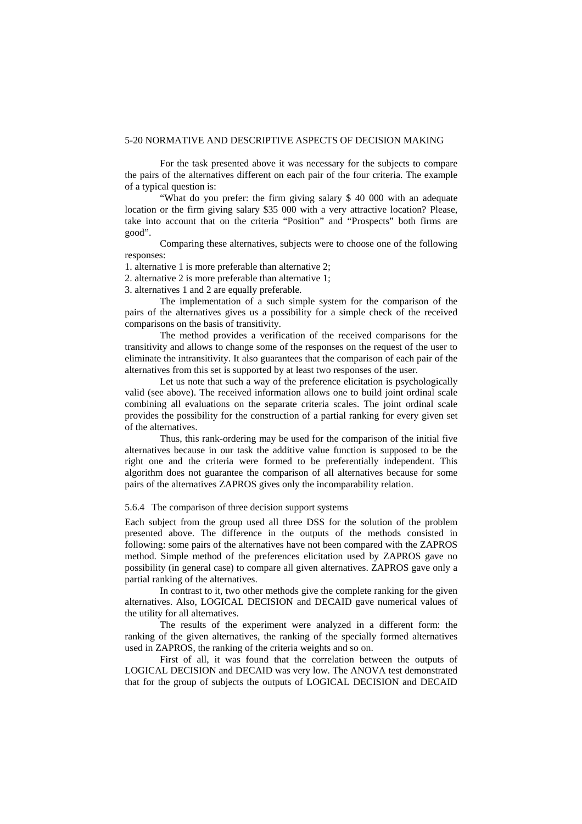For the task presented above it was necessary for the subjects to compare the pairs of the alternatives different on each pair of the four criteria. The example of a typical question is:

"What do you prefer: the firm giving salary \$ 40 000 with an adequate location or the firm giving salary \$35 000 with a very attractive location? Please, take into account that on the criteria "Position" and "Prospects" both firms are good".

Comparing these alternatives, subjects were to choose one of the following responses:

1. alternative 1 is more preferable than alternative 2;

2. alternative 2 is more preferable than alternative 1;

3. alternatives 1 and 2 are equally preferable.

The implementation of a such simple system for the comparison of the pairs of the alternatives gives us a possibility for a simple check of the received comparisons on the basis of transitivity.

The method provides a verification of the received comparisons for the transitivity and allows to change some of the responses on the request of the user to eliminate the intransitivity. It also guarantees that the comparison of each pair of the alternatives from this set is supported by at least two responses of the user.

Let us note that such a way of the preference elicitation is psychologically valid (see above). The received information allows one to build joint ordinal scale combining all evaluations on the separate criteria scales. The joint ordinal scale provides the possibility for the construction of a partial ranking for every given set of the alternatives.

Thus, this rank-ordering may be used for the comparison of the initial five alternatives because in our task the additive value function is supposed to be the right one and the criteria were formed to be preferentially independent. This algorithm does not guarantee the comparison of all alternatives because for some pairs of the alternatives ZAPROS gives only the incomparability relation.

## 5.6.4 The comparison of three decision support systems

Each subject from the group used all three DSS for the solution of the problem presented above. The difference in the outputs of the methods consisted in following: some pairs of the alternatives have not been compared with the ZAPROS method. Simple method of the preferences elicitation used by ZAPROS gave no possibility (in general case) to compare all given alternatives. ZAPROS gave only a partial ranking of the alternatives.

In contrast to it, two other methods give the complete ranking for the given alternatives. Also, LOGICAL DECISION and DECAID gave numerical values of the utility for all alternatives.

The results of the experiment were analyzed in a different form: the ranking of the given alternatives, the ranking of the specially formed alternatives used in ZAPROS, the ranking of the criteria weights and so on.

First of all, it was found that the correlation between the outputs of LOGICAL DECISION and DECAID was very low. The ANOVA test demonstrated that for the group of subjects the outputs of LOGICAL DECISION and DECAID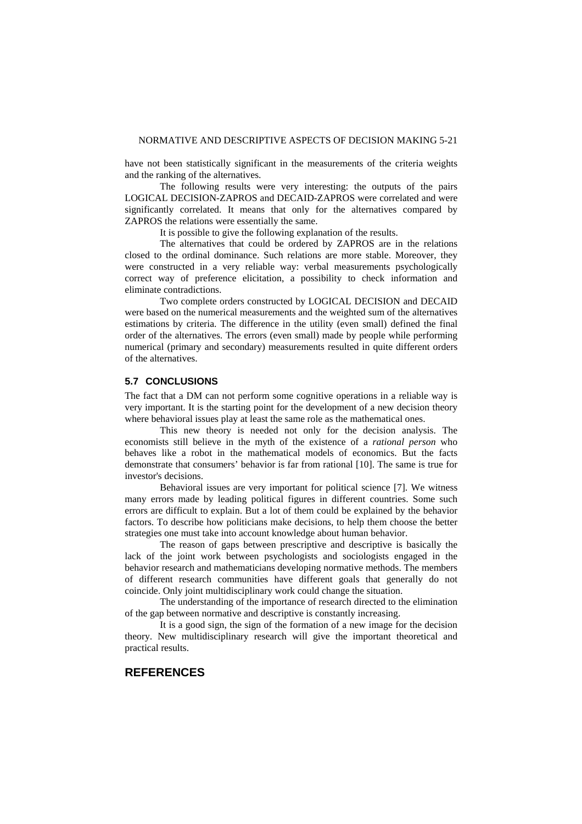have not been statistically significant in the measurements of the criteria weights and the ranking of the alternatives.

The following results were very interesting: the outputs of the pairs LOGICAL DECISION-ZAPROS and DECAID-ZAPROS were correlated and were significantly correlated. It means that only for the alternatives compared by ZAPROS the relations were essentially the same.

It is possible to give the following explanation of the results.

The alternatives that could be ordered by ZAPROS are in the relations closed to the ordinal dominance. Such relations are more stable. Moreover, they were constructed in a very reliable way: verbal measurements psychologically correct way of preference elicitation, a possibility to check information and eliminate contradictions.

Two complete orders constructed by LOGICAL DECISION and DECAID were based on the numerical measurements and the weighted sum of the alternatives estimations by criteria. The difference in the utility (even small) defined the final order of the alternatives. The errors (even small) made by people while performing numerical (primary and secondary) measurements resulted in quite different orders of the alternatives.

## **5.7 CONCLUSIONS**

The fact that a DM can not perform some cognitive operations in a reliable way is very important. It is the starting point for the development of a new decision theory where behavioral issues play at least the same role as the mathematical ones.

This new theory is needed not only for the decision analysis. The economists still believe in the myth of the existence of a *rational person* who behaves like a robot in the mathematical models of economics. But the facts demonstrate that consumers' behavior is far from rational [10]. The same is true for investor's decisions.

Behavioral issues are very important for political science [7]. We witness many errors made by leading political figures in different countries. Some such errors are difficult to explain. But a lot of them could be explained by the behavior factors. To describe how politicians make decisions, to help them choose the better strategies one must take into account knowledge about human behavior.

The reason of gaps between prescriptive and descriptive is basically the lack of the joint work between psychologists and sociologists engaged in the behavior research and mathematicians developing normative methods. The members of different research communities have different goals that generally do not coincide. Only joint multidisciplinary work could change the situation.

The understanding of the importance of research directed to the elimination of the gap between normative and descriptive is constantly increasing.

It is a good sign, the sign of the formation of a new image for the decision theory. New multidisciplinary research will give the important theoretical and practical results.

# **REFERENCES**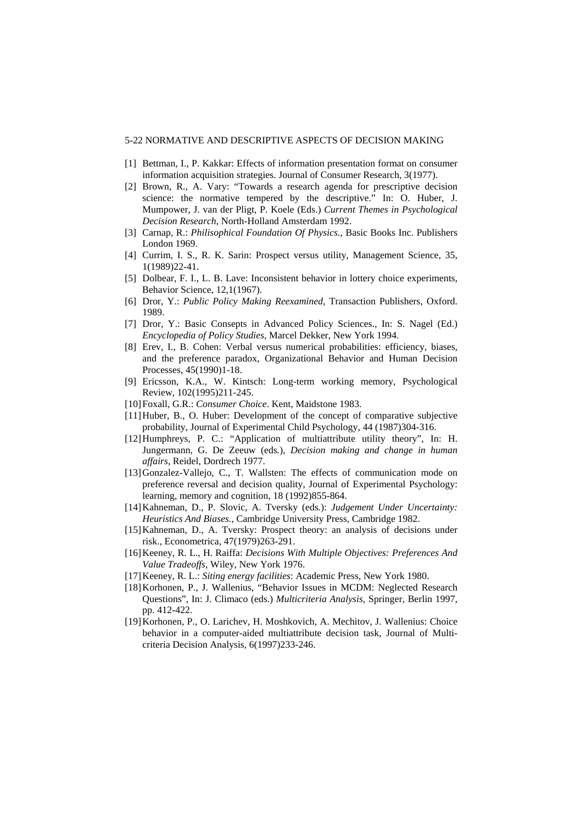- [1] Bettman, I., P. Kakkar: Effects of information presentation format on consumer information acquisition strategies. Journal of Consumer Research*,* 3(1977).
- [2] Brown, R., A. Vary: "Towards a research agenda for prescriptive decision science: the normative tempered by the descriptive." In: O. Huber, J. Mumpower, J. van der Pligt, P. Koele (Eds.) *Current Themes in Psychological Decision Research*, North-Holland Amsterdam 1992.
- [3] Carnap, R.: *Philisophical Foundation Of Physics*., Basic Books Inc. Publishers London 1969.
- [4] Currim, I. S., R. K. Sarin: Prospect versus utility, Management Science, 35, 1(1989)22-41.
- [5] Dolbear, F. I., L. B. Lave: Inconsistent behavior in lottery choice experiments, Behavior Science, 12,1(1967).
- [6] Dror, Y.: *Public Policy Making Reexamined*, Transaction Publishers, Oxford. 1989.
- [7] Dror, Y.: Basic Consepts in Advanced Policy Sciences., In: S. Nagel (Ed.) *Encyclopedia of Policy Studies,* Marcel Dekker, New York 1994.
- [8] Erev, I., B. Cohen: Verbal versus numerical probabilities: efficiency, biases, and the preference paradox, Organizational Behavior and Human Decision Processes, 45(1990)1-18.
- [9] Ericsson, K.A., W. Kintsch: Long-term working memory, Psychological Review, 102(1995)211-245.
- [10]Foxall, G.R.: *Consumer Choice*. Kent, Maidstone 1983.
- [11] Huber, B., O. Huber: Development of the concept of comparative subjective probability, Journal of Experimental Child Psychology, 44 (1987)304-316.
- [12]Humphreys, P. C.: "Application of multiattribute utility theory", In: H. Jungermann, G. De Zeeuw (eds*.*), *Decision making and change in human affairs,* Reidel, Dordrech 1977.
- [13]Gonzalez-Vallejo, C., T. Wallsten: The effects of communication mode on preference reversal and decision quality, Journal of Experimental Psychology: learning, memory and cognition, 18 (1992)855-864.
- [14]Kahneman, D., P. Slovic, A. Tversky (eds*.*): *Judgement Under Uncertainty: Heuristics And Biases.*, Cambridge University Press, Cambridge 1982.
- [15] Kahneman, D., A. Tversky: Prospect theory: an analysis of decisions under risk., Econometrica, 47(1979)263-291.
- [16]Keeney, R. L., H. Raiffa: *Decisions With Multiple Objectives: Preferences And Value Tradeoffs*, Wiley, New York 1976.
- [17]Keeney, R. L.: *Siting energy facilities*: Academic Press, New York 1980.
- [18] Korhonen, P., J. Wallenius, "Behavior Issues in MCDM: Neglected Research Questions", In: J. Climaco (eds.) *Multicriteria Analysis*, Springer, Berlin 1997, pp. 412-422.
- [19]Korhonen, P., O. Larichev, H. Moshkovich, A. Mechitov, J. Wallenius: Choice behavior in a computer-aided multiattribute decision task, Journal of Multicriteria Decision Analysis, 6(1997)233-246.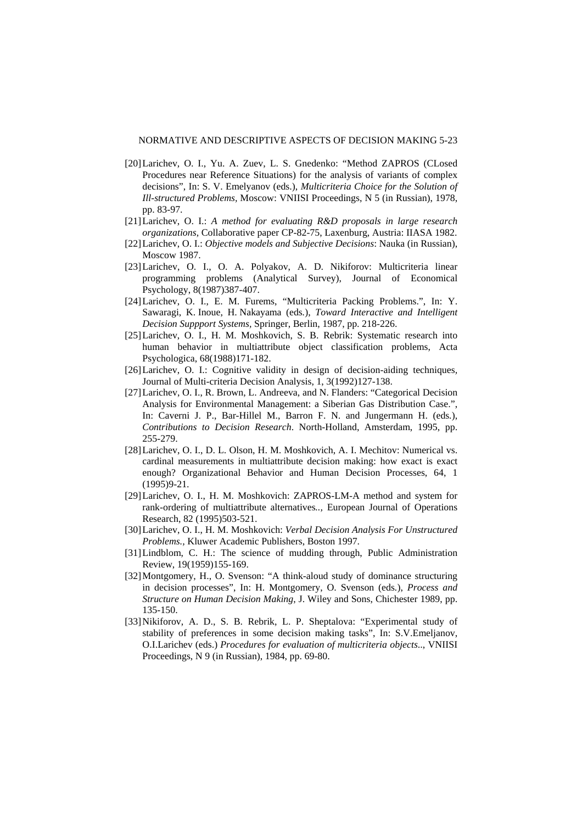- [20]Larichev, O. I., Yu. A. Zuev, L. S. Gnedenko: "Method ZAPROS (CLosed Procedures near Reference Situations) for the analysis of variants of complex decisions", In: S. V. Emelyanov (eds.), *Multicriteria Choice for the Solution of Ill-structured Problems,* Moscow: VNIISI Proceedings, N 5 (in Russian), 1978, pp. 83-97.
- [21]Larichev, O. I.: *A method for evaluating R&D proposals in large research organizations,* Collaborative paper CP-82-75, Laxenburg, Austria: IIASA 1982.
- [22]Larichev, O. I.: *Objective models and Subjective Decisions*: Nauka (in Russian), Moscow 1987.
- [23]Larichev, O. I., O. A. Polyakov, A. D. Nikiforov: Multicriteria linear programming problems (Analytical Survey), Journal of Economical Psychology, 8(1987)387-407.
- [24]Larichev, O. I., E. M. Furems, "Multicriteria Packing Problems.", In: Y. Sawaragi, K. Inoue, H. Nakayama (eds*.*), *Toward Interactive and Intelligent Decision Suppport Systems,* Springer, Berlin, 1987, pp. 218-226.
- [25]Larichev, O. I., H. M. Moshkovich, S. B. Rebrik: Systematic research into human behavior in multiattribute object classification problems, Acta Psychologica, 68(1988)171-182.
- [26]Larichev, O. I.: Cognitive validity in design of decision-aiding techniques*,* Journal of Multi-criteria Decision Analysis, 1, 3(1992)127-138.
- [27]Larichev, O. I., R. Brown, L. Andreeva, and N. Flanders: "Categorical Decision Analysis for Environmental Management: a Siberian Gas Distribution Case.", In: Caverni J. P., Bar-Hillel M., Barron F. N. and Jungermann H. (eds*.*), *Contributions to Decision Research*. North-Holland, Amsterdam, 1995, pp. 255-279.
- [28]Larichev, O. I., D. L. Olson, H. M. Moshkovich, A. I. Mechitov: Numerical vs. cardinal measurements in multiattribute decision making: how exact is exact enough? Organizational Behavior and Human Decision Processes, 64, 1 (1995)9-21.
- [29]Larichev, O. I., H. M. Moshkovich: ZAPROS-LM-A method and system for rank-ordering of multiattribute alternatives*..,* European Journal of Operations Research, 82 (1995)503-521.
- [30]Larichev, O. I., H. M. Moshkovich: *Verbal Decision Analysis For Unstructured Problems.,* Kluwer Academic Publishers, Boston 1997.
- [31]Lindblom, C. H.: The science of mudding through, Public Administration Review, 19(1959)155-169.
- [32] Montgomery, H., O. Svenson: "A think-aloud study of dominance structuring in decision processes", In: H. Montgomery, O. Svenson (eds*.*), *Process and Structure on Human Decision Making*, J. Wiley and Sons, Chichester 1989, pp. 135-150.
- [33] Nikiforov, A. D., S. B. Rebrik, L. P. Sheptalova: "Experimental study of stability of preferences in some decision making tasks", In: S.V.Emeljanov, O.I.Larichev (eds.) *Procedures for evaluation of multicriteria objects*.., VNIISI Proceedings, N 9 (in Russian), 1984, pp. 69-80.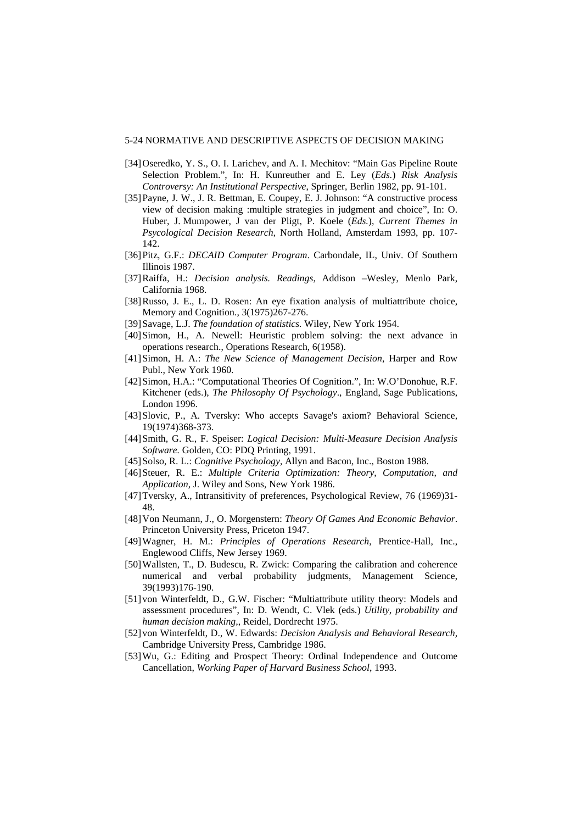- [34]Oseredko, Y. S., O. I. Larichev, and A. I. Mechitov: "Main Gas Pipeline Route Selection Problem.", In: H. Kunreuther and E. Ley (*Eds.*) *Risk Analysis Controversy: An Institutional Perspective*, Springer, Berlin 1982, pp. 91-101.
- [35]Payne, J. W., J. R. Bettman, E. Coupey, E. J. Johnson: "A constructive process view of decision making :multiple strategies in judgment and choice", In: O. Huber, J. Mumpower, J van der Pligt, P. Koele (*Eds.*), *Current Themes in Psycological Decision Research,* North Holland, Amsterdam 1993, pp. 107- 142.
- [36]Pitz, G.F.: *DECAID Computer Program*. Carbondale, IL, Univ. Of Southern Illinois 1987.
- [37]Raiffa, H.: *Decision analysis. Readings*, Addison –Wesley, Menlo Park, California 1968.
- [38]Russo, J. E., L. D. Rosen: An eye fixation analysis of multiattribute choice, Memory and Cognition*.*, 3(1975)267-276.
- [39]Savage, L.J. *The foundation of statistics.* Wiley, New York 1954.
- [40]Simon, H., A. Newell: Heuristic problem solving: the next advance in operations research., Operations Research, 6(1958).
- [41]Simon, H. A.: *The New Science of Management Decision*, Harper and Row Publ., New York 1960.
- [42]Simon, H.A.: "Computational Theories Of Cognition.", In: W.O'Donohue, R.F. Kitchener (eds.), *The Philosophy Of Psychology*., England, Sage Publications, London 1996.
- [43]Slovic, P., A. Tversky: Who accepts Savage's axiom? Behavioral Science*,* 19(1974)368-373.
- [44]Smith, G. R., F. Speiser: *Logical Decision: Multi-Measure Decision Analysis Software.* Golden, CO: PDQ Printing, 1991.
- [45]Solso, R. L.: *Cognitive Psychology*, Allyn and Bacon, Inc., Boston 1988.
- [46]Steuer, R. E.: *Multiple Criteria Optimization: Theory, Computation, and Application*, J. Wiley and Sons, New York 1986.
- [47] Tversky, A., Intransitivity of preferences, Psychological Review, 76 (1969)31-48.
- [48]Von Neumann, J., O. Morgenstern: *Theory Of Games And Economic Behavior*. Princeton University Press, Priceton 1947.
- [49]Wagner, H. M.: *Principles of Operations Research*, Prentice-Hall, Inc., Englewood Cliffs, New Jersey 1969.
- [50]Wallsten, T., D. Budescu, R. Zwick: Comparing the calibration and coherence numerical and verbal probability judgments, Management Science, 39(1993)176-190.
- [51]von Winterfeldt, D., G.W. Fischer: "Multiattribute utility theory: Models and assessment procedures", In: D. Wendt, C. Vlek (eds*.*) *Utility, probability and human decision making,*, Reidel, Dordrecht 1975.
- [52]von Winterfeldt, D., W. Edwards: *Decision Analysis and Behavioral Research,* Cambridge University Press, Cambridge 1986.
- [53]Wu, G.: Editing and Prospect Theory: Ordinal Independence and Outcome Cancellation, *Working Paper of Harvard Business School*, 1993.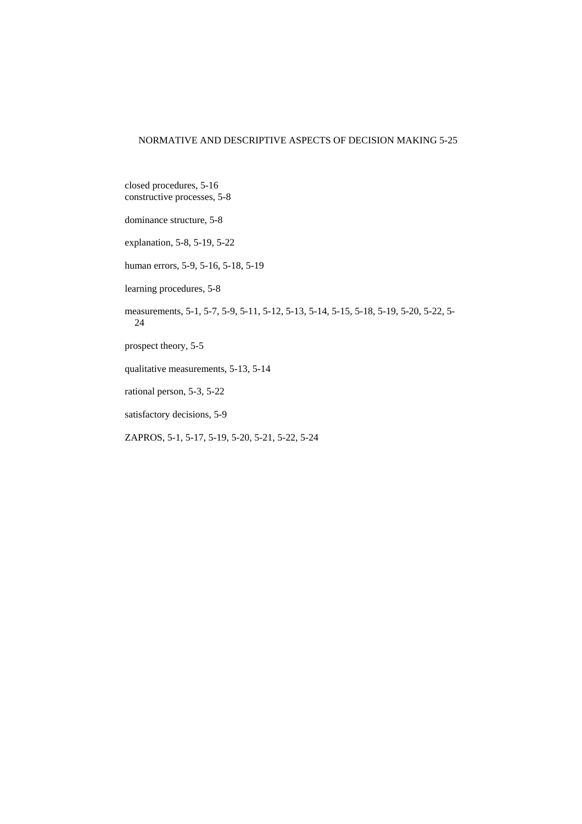closed procedures, 5-16 constructive processes, 5-8

dominance structure, 5-8

explanation, 5-8, 5-19, 5-22

human errors, 5-9, 5-16, 5-18, 5-19

learning procedures, 5-8

measurements, 5-1, 5-7, 5-9, 5-11, 5-12, 5-13, 5-14, 5-15, 5-18, 5-19, 5-20, 5-22, 5- 24

prospect theory, 5-5

qualitative measurements, 5-13, 5-14

rational person, 5-3, 5-22

satisfactory decisions, 5-9

ZAPROS, 5-1, 5-17, 5-19, 5-20, 5-21, 5-22, 5-24